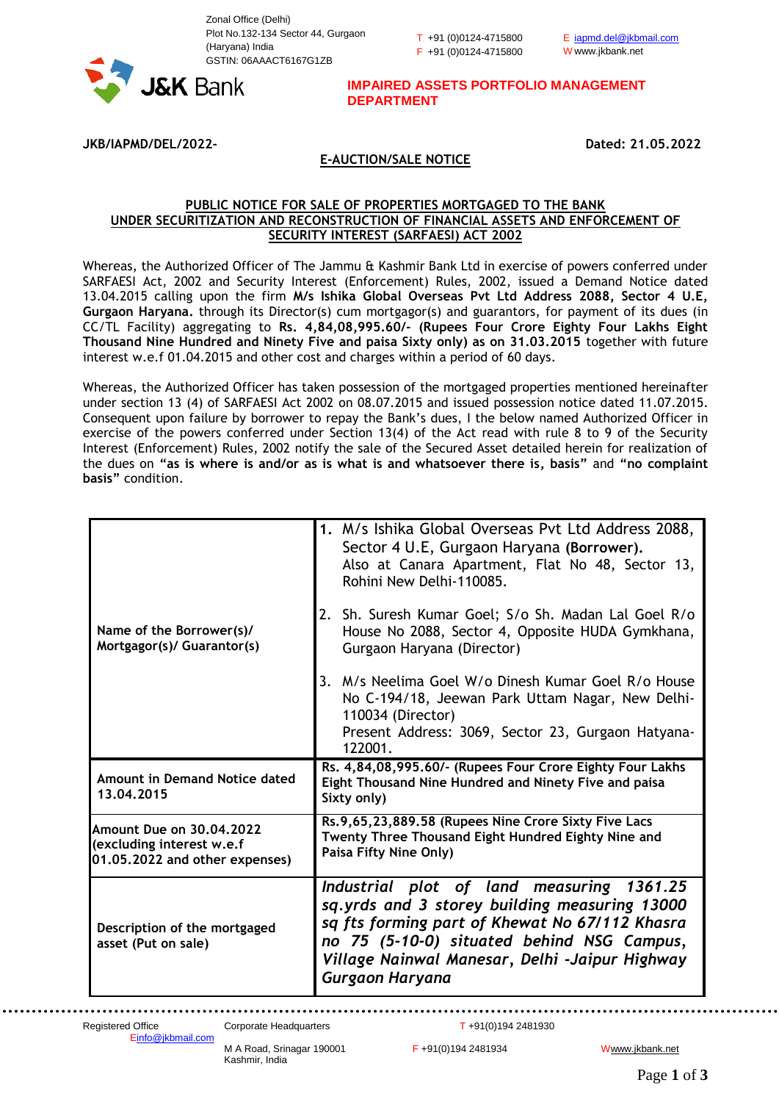Zonal Office (Delhi) Plot No.132-134 Sector 44, Gurgaon (Haryana) India GSTIN: 06AAACT6167G1ZB

T +91 (0)0124-4715800 F +91 (0)0124-4715800 E [iapmd.del@jkbmail.com](mailto:iapmd.del@jkbmail.com) W www.jkbank.net



**IMPAIRED ASSETS PORTFOLIO MANAGEMENT DEPARTMENT**

**JKB/IAPMD/DEL/2022- Dated: 21.05.2022**

## **E-AUCTION/SALE NOTICE**

## **PUBLIC NOTICE FOR SALE OF PROPERTIES MORTGAGED TO THE BANK UNDER SECURITIZATION AND RECONSTRUCTION OF FINANCIAL ASSETS AND ENFORCEMENT OF SECURITY INTEREST (SARFAESI) ACT 2002**

Whereas, the Authorized Officer of The Jammu & Kashmir Bank Ltd in exercise of powers conferred under SARFAESI Act, 2002 and Security Interest (Enforcement) Rules, 2002, issued a Demand Notice dated 13.04.2015 calling upon the firm **M/s Ishika Global Overseas Pvt Ltd Address 2088, Sector 4 U.E, Gurgaon Haryana.** through its Director(s) cum mortgagor(s) and guarantors, for payment of its dues (in CC/TL Facility) aggregating to **Rs. 4,84,08,995.60/- (Rupees Four Crore Eighty Four Lakhs Eight Thousand Nine Hundred and Ninety Five and paisa Sixty only) as on 31.03.2015** together with future interest w.e.f 01.04.2015 and other cost and charges within a period of 60 days.

Whereas, the Authorized Officer has taken possession of the mortgaged properties mentioned hereinafter under section 13 (4) of SARFAESI Act 2002 on 08.07.2015 and issued possession notice dated 11.07.2015. Consequent upon failure by borrower to repay the Bank's dues, I the below named Authorized Officer in exercise of the powers conferred under Section 13(4) of the Act read with rule 8 to 9 of the Security Interest (Enforcement) Rules, 2002 notify the sale of the Secured Asset detailed herein for realization of the dues on **"as is where is and/or as is what is and whatsoever there is, basis"** and **"no complaint basis"** condition.

|                                                                                                | 1. M/s Ishika Global Overseas Pvt Ltd Address 2088,<br>Sector 4 U.E, Gurgaon Haryana (Borrower).<br>Also at Canara Apartment, Flat No 48, Sector 13,<br>Rohini New Delhi-110085.              |
|------------------------------------------------------------------------------------------------|-----------------------------------------------------------------------------------------------------------------------------------------------------------------------------------------------|
| Name of the Borrower(s)/<br>Mortgagor(s)/ Guarantor(s)                                         | 2. Sh. Suresh Kumar Goel; S/o Sh. Madan Lal Goel R/o<br>House No 2088, Sector 4, Opposite HUDA Gymkhana,<br>Gurgaon Haryana (Director)                                                        |
|                                                                                                | 3. M/s Neelima Goel W/o Dinesh Kumar Goel R/o House<br>No C-194/18, Jeewan Park Uttam Nagar, New Delhi-<br>110034 (Director)<br>Present Address: 3069, Sector 23, Gurgaon Hatyana-<br>122001. |
| Amount in Demand Notice dated<br>13,04,2015                                                    | Rs. 4,84,08,995.60/- (Rupees Four Crore Eighty Four Lakhs<br>Eight Thousand Nine Hundred and Ninety Five and paisa<br>Sixty only)                                                             |
| <b>Amount Due on 30.04.2022</b><br>(excluding interest w.e.f<br>01.05.2022 and other expenses) | Rs.9,65,23,889.58 (Rupees Nine Crore Sixty Five Lacs<br>Twenty Three Thousand Eight Hundred Eighty Nine and<br>Paisa Fifty Nine Only)                                                         |
|                                                                                                | Industrial plot of land measuring 1361.25<br>sq.yrds and 3 storey building measuring 13000                                                                                                    |

Kashmir, India

M A Road, Srinagar 190001 F +91(0)194 2481934 Www.jkbank.net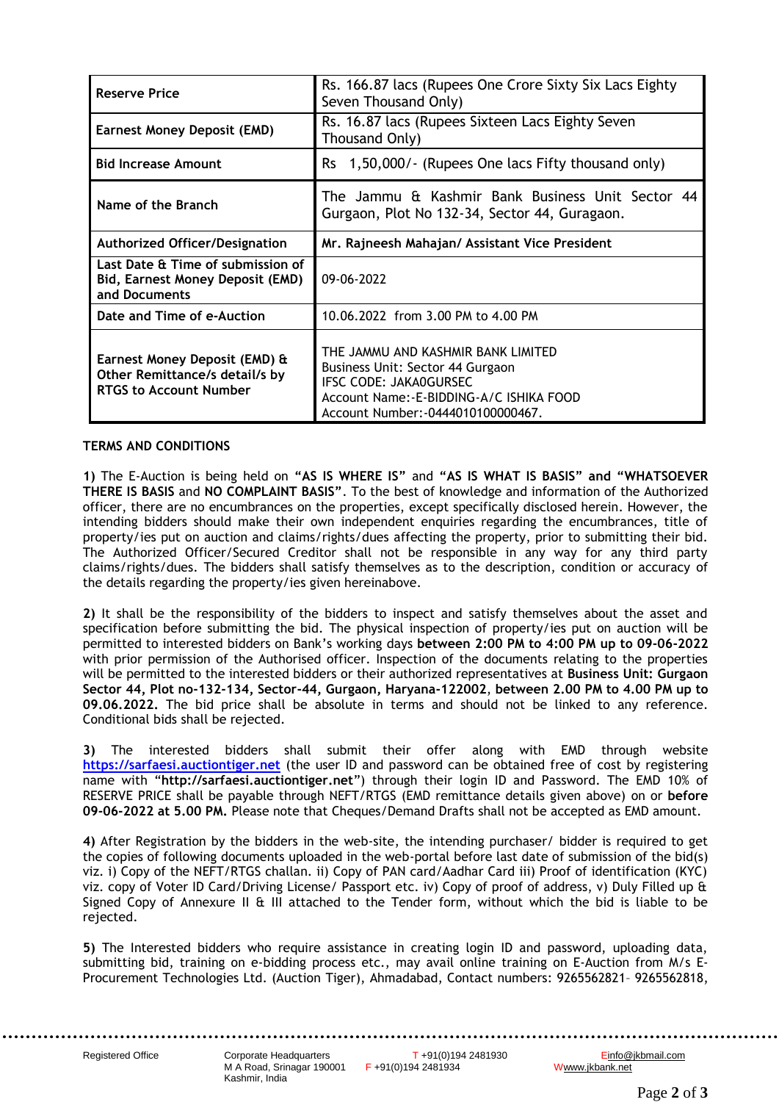| <b>Reserve Price</b>                                                                             | Rs. 166.87 lacs (Rupees One Crore Sixty Six Lacs Eighty<br>Seven Thousand Only)                                                                                                   |
|--------------------------------------------------------------------------------------------------|-----------------------------------------------------------------------------------------------------------------------------------------------------------------------------------|
| <b>Earnest Money Deposit (EMD)</b>                                                               | Rs. 16.87 lacs (Rupees Sixteen Lacs Eighty Seven<br>Thousand Only)                                                                                                                |
| <b>Bid Increase Amount</b>                                                                       | 1,50,000/- (Rupees One lacs Fifty thousand only)<br>Rs.                                                                                                                           |
| Name of the Branch                                                                               | The Jammu & Kashmir Bank Business Unit Sector 44<br>Gurgaon, Plot No 132-34, Sector 44, Guragaon.                                                                                 |
| Authorized Officer/Designation                                                                   | Mr. Rajneesh Mahajan/ Assistant Vice President                                                                                                                                    |
| Last Date & Time of submission of<br>Bid, Earnest Money Deposit (EMD)<br>and Documents           | 09-06-2022                                                                                                                                                                        |
| Date and Time of e-Auction                                                                       | 10.06.2022 from 3.00 PM to 4.00 PM                                                                                                                                                |
| Earnest Money Deposit (EMD) &<br>Other Remittance/s detail/s by<br><b>RTGS to Account Number</b> | THE JAMMU AND KASHMIR BANK LIMITED<br>Business Unit: Sector 44 Gurgaon<br>IFSC CODE: JAKA0GURSEC<br>Account Name:-E-BIDDING-A/C ISHIKA FOOD<br>Account Number: -0444010100000467. |

## **TERMS AND CONDITIONS**

**1)** The E-Auction is being held on **"AS IS WHERE IS"** and **"AS IS WHAT IS BASIS" and "WHATSOEVER THERE IS BASIS** and **NO COMPLAINT BASIS"**. To the best of knowledge and information of the Authorized officer, there are no encumbrances on the properties, except specifically disclosed herein. However, the intending bidders should make their own independent enquiries regarding the encumbrances, title of property/ies put on auction and claims/rights/dues affecting the property, prior to submitting their bid. The Authorized Officer/Secured Creditor shall not be responsible in any way for any third party claims/rights/dues. The bidders shall satisfy themselves as to the description, condition or accuracy of the details regarding the property/ies given hereinabove.

**2)** It shall be the responsibility of the bidders to inspect and satisfy themselves about the asset and specification before submitting the bid. The physical inspection of property/ies put on auction will be permitted to interested bidders on Bank's working days **between 2:00 PM to 4:00 PM up to 09-06-2022** with prior permission of the Authorised officer. Inspection of the documents relating to the properties will be permitted to the interested bidders or their authorized representatives at **Business Unit: Gurgaon Sector 44, Plot no-132-134, Sector-44, Gurgaon, Haryana-122002**, **between 2.00 PM to 4.00 PM up to 09.06.2022.** The bid price shall be absolute in terms and should not be linked to any reference. Conditional bids shall be rejected.

**3)** The interested bidders shall submit their offer along with EMD through website **[https://sarfaesi.auctiontiger.net](https://sarfaesi.auctiontiger.net/)** (the user ID and password can be obtained free of cost by registering name with "**http://sarfaesi.auctiontiger.net**") through their login ID and Password. The EMD 10% of RESERVE PRICE shall be payable through NEFT/RTGS (EMD remittance details given above) on or **before 09-06-2022 at 5.00 PM.** Please note that Cheques/Demand Drafts shall not be accepted as EMD amount.

**4)** After Registration by the bidders in the web-site, the intending purchaser/ bidder is required to get the copies of following documents uploaded in the web-portal before last date of submission of the bid(s) viz. i) Copy of the NEFT/RTGS challan. ii) Copy of PAN card/Aadhar Card iii) Proof of identification (KYC) viz. copy of Voter ID Card/Driving License/ Passport etc. iv) Copy of proof of address, v) Duly Filled up & Signed Copy of Annexure II & III attached to the Tender form, without which the bid is liable to be rejected.

**5)** The Interested bidders who require assistance in creating login ID and password, uploading data, submitting bid, training on e-bidding process etc., may avail online training on E-Auction from M/s E-Procurement Technologies Ltd. (Auction Tiger), Ahmadabad, Contact numbers: 9265562821– 9265562818,

M A Road, Srinagar 190001 F +91(0)194 2481934 Kashmir, India

Registered Office Corporate Headquarters T +91(0)194 2481930 [Einfo@jkbmail.com](mailto:info@jkbmail.com)<br>M A Road, Srinagar 190001 F +91(0)194 2481934 Www.jkbank.net